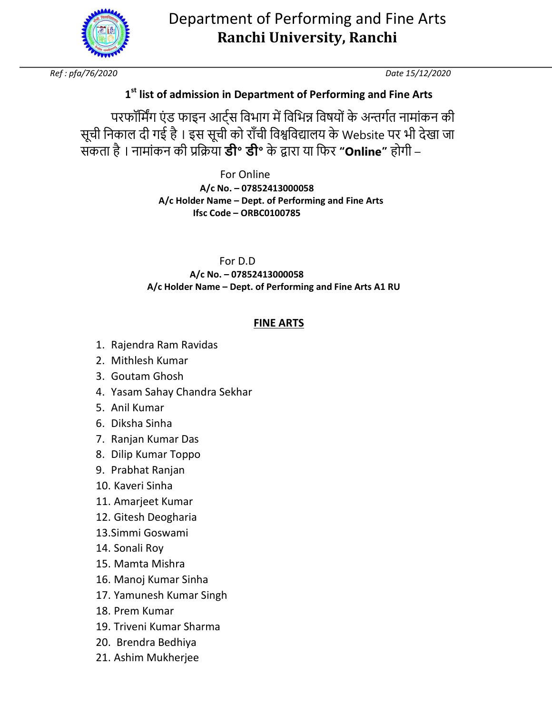

# Department of Performing and Fine Arts **Ranchi University, Ranchi**

*Ref : pfa/76/2020 Date 15/12/2020* 

# **1 st list of admission in Department of Performing and Fine Arts**

परफॉर्मिंग एंड फाइन आर्ट्स विभाग में विभिन्न विषयों के अन्तर्गत नामांकन की सूची निकाल दी गई है। इस सूची को राँची विश्वविद्यालय के Website पर भी देखा जा सकता है । नामांकन की 5ि6या **डी॰ डी॰** के 7ारा या िफर **"Online"** होगी –

> For Online  **A/c No. – 07852413000058 A/c Holder Name – Dept. of Performing and Fine Arts Ifsc Code – ORBC0100785**

 For D.D  **A/c No. – 07852413000058 A/c Holder Name – Dept. of Performing and Fine Arts A1 RU** 

# **FINE ARTS**

- 1. Rajendra Ram Ravidas
- 2. Mithlesh Kumar
- 3. Goutam Ghosh
- 4. Yasam Sahay Chandra Sekhar
- 5. Anil Kumar
- 6. Diksha Sinha
- 7. Ranjan Kumar Das
- 8. Dilip Kumar Toppo
- 9. Prabhat Ranjan
- 10. Kaveri Sinha
- 11. Amarjeet Kumar
- 12. Gitesh Deogharia
- 13.Simmi Goswami
- 14. Sonali Roy
- 15. Mamta Mishra
- 16. Manoj Kumar Sinha
- 17. Yamunesh Kumar Singh
- 18. Prem Kumar
- 19. Triveni Kumar Sharma
- 20. Brendra Bedhiya
- 21. Ashim Mukherjee